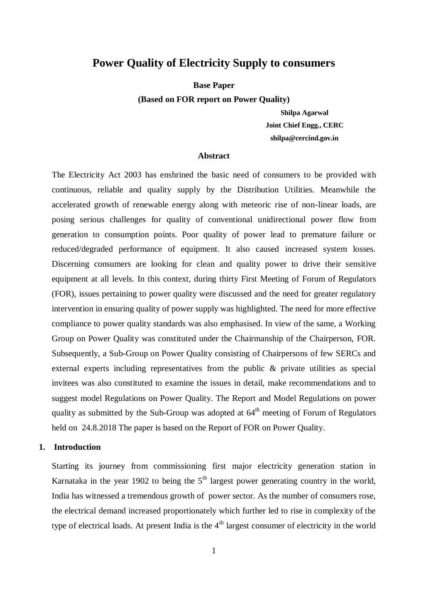## **Power Quality of Electricity Supply to consumers**

**Base Paper** 

**(Based on FOR report on Power Quality)**

**Shilpa Agarwal Joint Chief Engg., CERC shilpa@cercind.gov.in**

#### **Abstract**

The Electricity Act 2003 has enshrined the basic need of consumers to be provided with continuous, reliable and quality supply by the Distribution Utilities. Meanwhile the accelerated growth of renewable energy along with meteoric rise of non-linear loads, are posing serious challenges for quality of conventional unidirectional power flow from generation to consumption points. Poor quality of power lead to premature failure or reduced/degraded performance of equipment. It also caused increased system losses. Discerning consumers are looking for clean and quality power to drive their sensitive equipment at all levels. In this context, during thirty First Meeting of Forum of Regulators (FOR), issues pertaining to power quality were discussed and the need for greater regulatory intervention in ensuring quality of power supply was highlighted. The need for more effective compliance to power quality standards was also emphasised. In view of the same, a Working Group on Power Quality was constituted under the Chairmanship of the Chairperson, FOR. Subsequently, a Sub-Group on Power Quality consisting of Chairpersons of few SERCs and external experts including representatives from the public & private utilities as special invitees was also constituted to examine the issues in detail, make recommendations and to suggest model Regulations on Power Quality. The Report and Model Regulations on power quality as submitted by the Sub-Group was adopted at  $64<sup>th</sup>$  meeting of Forum of Regulators held on 24.8.2018 The paper is based on the Report of FOR on Power Quality.

#### **1. Introduction**

Starting its journey from commissioning first major electricity generation station in Karnataka in the year 1902 to being the  $5<sup>th</sup>$  largest power generating country in the world, India has witnessed a tremendous growth of power sector. As the number of consumers rose, the electrical demand increased proportionately which further led to rise in complexity of the type of electrical loads. At present India is the  $4<sup>th</sup>$  largest consumer of electricity in the world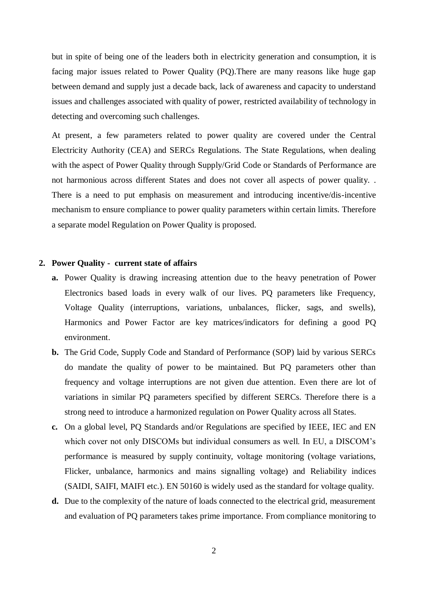but in spite of being one of the leaders both in electricity generation and consumption, it is facing major issues related to Power Quality (PQ).There are many reasons like huge gap between demand and supply just a decade back, lack of awareness and capacity to understand issues and challenges associated with quality of power, restricted availability of technology in detecting and overcoming such challenges.

At present, a few parameters related to power quality are covered under the Central Electricity Authority (CEA) and SERCs Regulations. The State Regulations, when dealing with the aspect of Power Quality through Supply/Grid Code or Standards of Performance are not harmonious across different States and does not cover all aspects of power quality. . There is a need to put emphasis on measurement and introducing incentive/dis-incentive mechanism to ensure compliance to power quality parameters within certain limits. Therefore a separate model Regulation on Power Quality is proposed.

### **2. Power Quality - current state of affairs**

- **a.** Power Quality is drawing increasing attention due to the heavy penetration of Power Electronics based loads in every walk of our lives. PQ parameters like Frequency, Voltage Quality (interruptions, variations, unbalances, flicker, sags, and swells), Harmonics and Power Factor are key matrices/indicators for defining a good PQ environment.
- **b.** The Grid Code, Supply Code and Standard of Performance (SOP) laid by various SERCs do mandate the quality of power to be maintained. But PQ parameters other than frequency and voltage interruptions are not given due attention. Even there are lot of variations in similar PQ parameters specified by different SERCs. Therefore there is a strong need to introduce a harmonized regulation on Power Quality across all States.
- **c.** On a global level, PQ Standards and/or Regulations are specified by IEEE, IEC and EN which cover not only DISCOMs but individual consumers as well. In EU, a DISCOM's performance is measured by supply continuity, voltage monitoring (voltage variations, Flicker, unbalance, harmonics and mains signalling voltage) and Reliability indices (SAIDI, SAIFI, MAIFI etc.). EN 50160 is widely used as the standard for voltage quality.
- **d.** Due to the complexity of the nature of loads connected to the electrical grid, measurement and evaluation of PQ parameters takes prime importance. From compliance monitoring to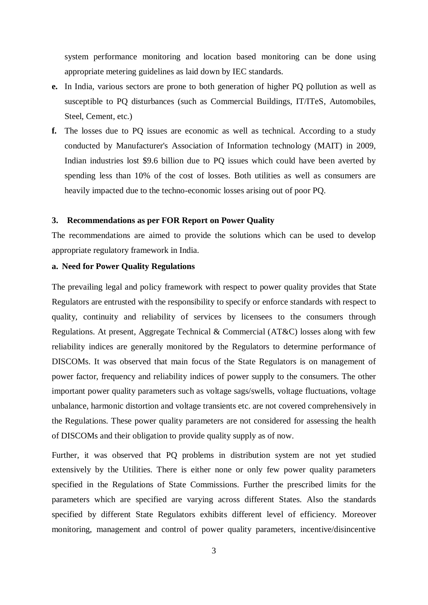system performance monitoring and location based monitoring can be done using appropriate metering guidelines as laid down by IEC standards.

- **e.** In India, various sectors are prone to both generation of higher PQ pollution as well as susceptible to PQ disturbances (such as Commercial Buildings, IT/ITeS, Automobiles, Steel, Cement, etc.)
- **f.** The losses due to PQ issues are economic as well as technical. According to a study conducted by Manufacturer's Association of Information technology (MAIT) in 2009, Indian industries lost \$9.6 billion due to PQ issues which could have been averted by spending less than 10% of the cost of losses. Both utilities as well as consumers are heavily impacted due to the techno-economic losses arising out of poor PQ.

#### **3. Recommendations as per FOR Report on Power Quality**

The recommendations are aimed to provide the solutions which can be used to develop appropriate regulatory framework in India.

#### **a. Need for Power Quality Regulations**

The prevailing legal and policy framework with respect to power quality provides that State Regulators are entrusted with the responsibility to specify or enforce standards with respect to quality, continuity and reliability of services by licensees to the consumers through Regulations. At present, Aggregate Technical & Commercial (AT&C) losses along with few reliability indices are generally monitored by the Regulators to determine performance of DISCOMs. It was observed that main focus of the State Regulators is on management of power factor, frequency and reliability indices of power supply to the consumers. The other important power quality parameters such as voltage sags/swells, voltage fluctuations, voltage unbalance, harmonic distortion and voltage transients etc. are not covered comprehensively in the Regulations. These power quality parameters are not considered for assessing the health of DISCOMs and their obligation to provide quality supply as of now.

Further, it was observed that PQ problems in distribution system are not yet studied extensively by the Utilities. There is either none or only few power quality parameters specified in the Regulations of State Commissions. Further the prescribed limits for the parameters which are specified are varying across different States. Also the standards specified by different State Regulators exhibits different level of efficiency. Moreover monitoring, management and control of power quality parameters, incentive/disincentive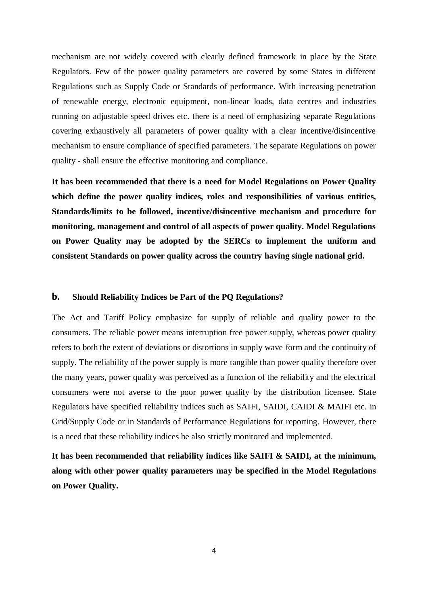mechanism are not widely covered with clearly defined framework in place by the State Regulators. Few of the power quality parameters are covered by some States in different Regulations such as Supply Code or Standards of performance. With increasing penetration of renewable energy, electronic equipment, non-linear loads, data centres and industries running on adjustable speed drives etc. there is a need of emphasizing separate Regulations covering exhaustively all parameters of power quality with a clear incentive/disincentive mechanism to ensure compliance of specified parameters. The separate Regulations on power quality - shall ensure the effective monitoring and compliance.

**It has been recommended that there is a need for Model Regulations on Power Quality which define the power quality indices, roles and responsibilities of various entities, Standards/limits to be followed, incentive/disincentive mechanism and procedure for monitoring, management and control of all aspects of power quality. Model Regulations on Power Quality may be adopted by the SERCs to implement the uniform and consistent Standards on power quality across the country having single national grid.**

#### **b. Should Reliability Indices be Part of the PQ Regulations?**

The Act and Tariff Policy emphasize for supply of reliable and quality power to the consumers. The reliable power means interruption free power supply, whereas power quality refers to both the extent of deviations or distortions in supply wave form and the continuity of supply. The reliability of the power supply is more tangible than power quality therefore over the many years, power quality was perceived as a function of the reliability and the electrical consumers were not averse to the poor power quality by the distribution licensee. State Regulators have specified reliability indices such as SAIFI, SAIDI, CAIDI & MAIFI etc. in Grid/Supply Code or in Standards of Performance Regulations for reporting. However, there is a need that these reliability indices be also strictly monitored and implemented.

**It has been recommended that reliability indices like SAIFI & SAIDI, at the minimum, along with other power quality parameters may be specified in the Model Regulations on Power Quality.**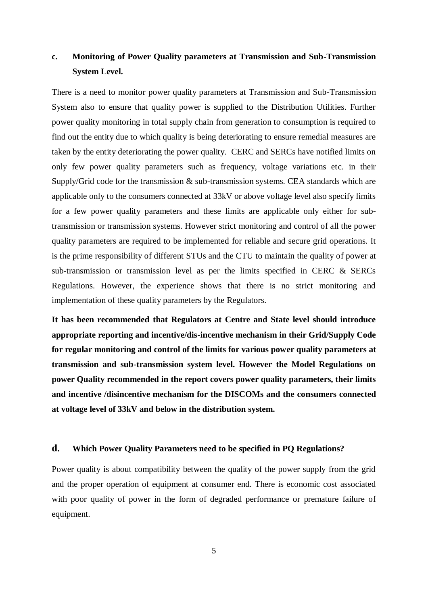# **c. Monitoring of Power Quality parameters at Transmission and Sub-Transmission System Level.**

There is a need to monitor power quality parameters at Transmission and Sub-Transmission System also to ensure that quality power is supplied to the Distribution Utilities. Further power quality monitoring in total supply chain from generation to consumption is required to find out the entity due to which quality is being deteriorating to ensure remedial measures are taken by the entity deteriorating the power quality. CERC and SERCs have notified limits on only few power quality parameters such as frequency, voltage variations etc. in their Supply/Grid code for the transmission & sub-transmission systems. CEA standards which are applicable only to the consumers connected at 33kV or above voltage level also specify limits for a few power quality parameters and these limits are applicable only either for subtransmission or transmission systems. However strict monitoring and control of all the power quality parameters are required to be implemented for reliable and secure grid operations. It is the prime responsibility of different STUs and the CTU to maintain the quality of power at sub-transmission or transmission level as per the limits specified in CERC & SERCs Regulations. However, the experience shows that there is no strict monitoring and implementation of these quality parameters by the Regulators.

**It has been recommended that Regulators at Centre and State level should introduce appropriate reporting and incentive/dis-incentive mechanism in their Grid/Supply Code for regular monitoring and control of the limits for various power quality parameters at transmission and sub-transmission system level. However the Model Regulations on power Quality recommended in the report covers power quality parameters, their limits and incentive /disincentive mechanism for the DISCOMs and the consumers connected at voltage level of 33kV and below in the distribution system.** 

### **d. Which Power Quality Parameters need to be specified in PQ Regulations?**

Power quality is about compatibility between the quality of the power supply from the grid and the proper operation of equipment at consumer end. There is economic cost associated with poor quality of power in the form of degraded performance or premature failure of equipment.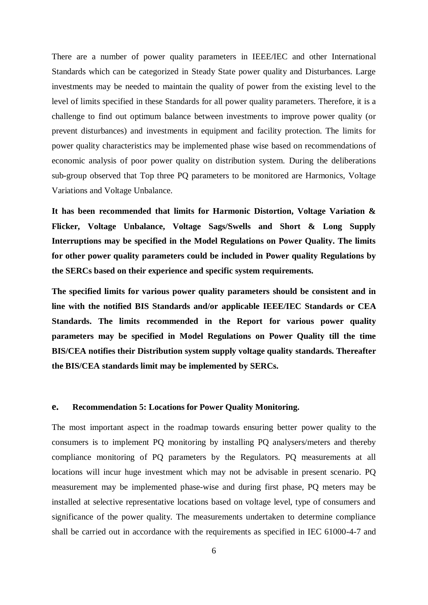There are a number of power quality parameters in IEEE/IEC and other International Standards which can be categorized in Steady State power quality and Disturbances. Large investments may be needed to maintain the quality of power from the existing level to the level of limits specified in these Standards for all power quality parameters. Therefore, it is a challenge to find out optimum balance between investments to improve power quality (or prevent disturbances) and investments in equipment and facility protection. The limits for power quality characteristics may be implemented phase wise based on recommendations of economic analysis of poor power quality on distribution system. During the deliberations sub-group observed that Top three PQ parameters to be monitored are Harmonics, Voltage Variations and Voltage Unbalance.

**It has been recommended that limits for Harmonic Distortion, Voltage Variation & Flicker, Voltage Unbalance, Voltage Sags/Swells and Short & Long Supply Interruptions may be specified in the Model Regulations on Power Quality. The limits for other power quality parameters could be included in Power quality Regulations by the SERCs based on their experience and specific system requirements.**

**The specified limits for various power quality parameters should be consistent and in line with the notified BIS Standards and/or applicable IEEE/IEC Standards or CEA Standards. The limits recommended in the Report for various power quality parameters may be specified in Model Regulations on Power Quality till the time BIS/CEA notifies their Distribution system supply voltage quality standards. Thereafter the BIS/CEA standards limit may be implemented by SERCs.**

#### **e. Recommendation 5: Locations for Power Quality Monitoring.**

The most important aspect in the roadmap towards ensuring better power quality to the consumers is to implement PQ monitoring by installing PQ analysers/meters and thereby compliance monitoring of PQ parameters by the Regulators. PQ measurements at all locations will incur huge investment which may not be advisable in present scenario. PQ measurement may be implemented phase-wise and during first phase, PQ meters may be installed at selective representative locations based on voltage level, type of consumers and significance of the power quality. The measurements undertaken to determine compliance shall be carried out in accordance with the requirements as specified in IEC 61000-4-7 and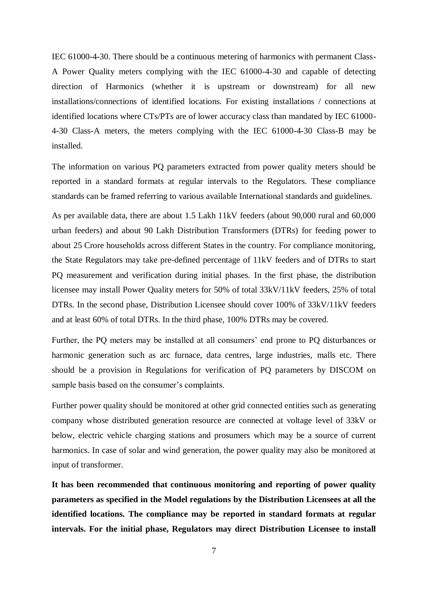IEC 61000-4-30. There should be a continuous metering of harmonics with permanent Class-A Power Quality meters complying with the IEC 61000-4-30 and capable of detecting direction of Harmonics (whether it is upstream or downstream) for all new installations/connections of identified locations. For existing installations / connections at identified locations where CTs/PTs are of lower accuracy class than mandated by IEC 61000- 4-30 Class-A meters, the meters complying with the IEC 61000-4-30 Class-B may be installed.

The information on various PQ parameters extracted from power quality meters should be reported in a standard formats at regular intervals to the Regulators. These compliance standards can be framed referring to various available International standards and guidelines.

As per available data, there are about 1.5 Lakh 11kV feeders (about 90,000 rural and 60,000 urban feeders) and about 90 Lakh Distribution Transformers (DTRs) for feeding power to about 25 Crore households across different States in the country. For compliance monitoring, the State Regulators may take pre-defined percentage of 11kV feeders and of DTRs to start PQ measurement and verification during initial phases. In the first phase, the distribution licensee may install Power Quality meters for 50% of total 33kV/11kV feeders, 25% of total DTRs. In the second phase, Distribution Licensee should cover 100% of 33kV/11kV feeders and at least 60% of total DTRs. In the third phase, 100% DTRs may be covered.

Further, the PQ meters may be installed at all consumers' end prone to PQ disturbances or harmonic generation such as arc furnace, data centres, large industries, malls etc. There should be a provision in Regulations for verification of PQ parameters by DISCOM on sample basis based on the consumer's complaints.

Further power quality should be monitored at other grid connected entities such as generating company whose distributed generation resource are connected at voltage level of 33kV or below, electric vehicle charging stations and prosumers which may be a source of current harmonics. In case of solar and wind generation, the power quality may also be monitored at input of transformer.

**It has been recommended that continuous monitoring and reporting of power quality parameters as specified in the Model regulations by the Distribution Licensees at all the identified locations. The compliance may be reported in standard formats at regular intervals. For the initial phase, Regulators may direct Distribution Licensee to install**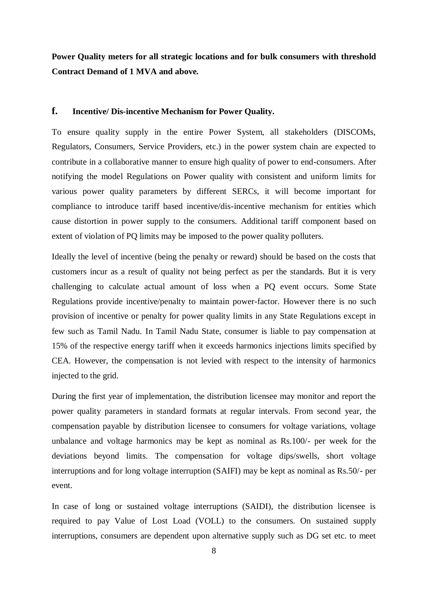**Power Quality meters for all strategic locations and for bulk consumers with threshold Contract Demand of 1 MVA and above.**

#### **f. Incentive/ Dis-incentive Mechanism for Power Quality.**

To ensure quality supply in the entire Power System, all stakeholders (DISCOMs, Regulators, Consumers, Service Providers, etc.) in the power system chain are expected to contribute in a collaborative manner to ensure high quality of power to end-consumers. After notifying the model Regulations on Power quality with consistent and uniform limits for various power quality parameters by different SERCs, it will become important for compliance to introduce tariff based incentive/dis-incentive mechanism for entities which cause distortion in power supply to the consumers. Additional tariff component based on extent of violation of PQ limits may be imposed to the power quality polluters.

Ideally the level of incentive (being the penalty or reward) should be based on the costs that customers incur as a result of quality not being perfect as per the standards. But it is very challenging to calculate actual amount of loss when a PQ event occurs. Some State Regulations provide incentive/penalty to maintain power-factor. However there is no such provision of incentive or penalty for power quality limits in any State Regulations except in few such as Tamil Nadu. In Tamil Nadu State, consumer is liable to pay compensation at 15% of the respective energy tariff when it exceeds harmonics injections limits specified by CEA. However, the compensation is not levied with respect to the intensity of harmonics injected to the grid.

During the first year of implementation, the distribution licensee may monitor and report the power quality parameters in standard formats at regular intervals. From second year, the compensation payable by distribution licensee to consumers for voltage variations, voltage unbalance and voltage harmonics may be kept as nominal as Rs.100/- per week for the deviations beyond limits. The compensation for voltage dips/swells, short voltage interruptions and for long voltage interruption (SAIFI) may be kept as nominal as Rs.50/- per event.

In case of long or sustained voltage interruptions (SAIDI), the distribution licensee is required to pay Value of Lost Load (VOLL) to the consumers. On sustained supply interruptions, consumers are dependent upon alternative supply such as DG set etc. to meet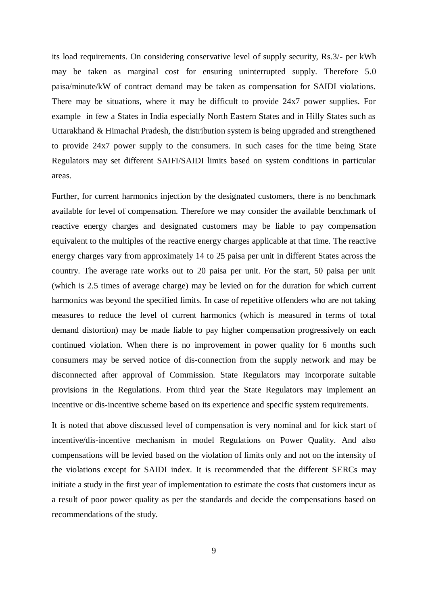its load requirements. On considering conservative level of supply security, Rs.3/- per kWh may be taken as marginal cost for ensuring uninterrupted supply. Therefore 5.0 paisa/minute/kW of contract demand may be taken as compensation for SAIDI violations. There may be situations, where it may be difficult to provide 24x7 power supplies. For example in few a States in India especially North Eastern States and in Hilly States such as Uttarakhand & Himachal Pradesh, the distribution system is being upgraded and strengthened to provide 24x7 power supply to the consumers. In such cases for the time being State Regulators may set different SAIFI/SAIDI limits based on system conditions in particular areas.

Further, for current harmonics injection by the designated customers, there is no benchmark available for level of compensation. Therefore we may consider the available benchmark of reactive energy charges and designated customers may be liable to pay compensation equivalent to the multiples of the reactive energy charges applicable at that time. The reactive energy charges vary from approximately 14 to 25 paisa per unit in different States across the country. The average rate works out to 20 paisa per unit. For the start, 50 paisa per unit (which is 2.5 times of average charge) may be levied on for the duration for which current harmonics was beyond the specified limits. In case of repetitive offenders who are not taking measures to reduce the level of current harmonics (which is measured in terms of total demand distortion) may be made liable to pay higher compensation progressively on each continued violation. When there is no improvement in power quality for 6 months such consumers may be served notice of dis-connection from the supply network and may be disconnected after approval of Commission. State Regulators may incorporate suitable provisions in the Regulations. From third year the State Regulators may implement an incentive or dis-incentive scheme based on its experience and specific system requirements.

It is noted that above discussed level of compensation is very nominal and for kick start of incentive/dis-incentive mechanism in model Regulations on Power Quality. And also compensations will be levied based on the violation of limits only and not on the intensity of the violations except for SAIDI index. It is recommended that the different SERCs may initiate a study in the first year of implementation to estimate the costs that customers incur as a result of poor power quality as per the standards and decide the compensations based on recommendations of the study.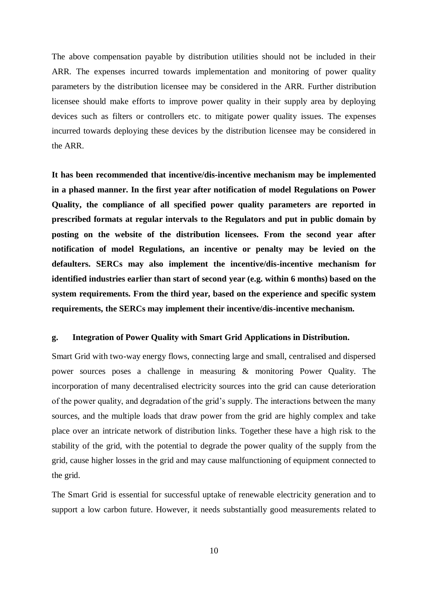The above compensation payable by distribution utilities should not be included in their ARR. The expenses incurred towards implementation and monitoring of power quality parameters by the distribution licensee may be considered in the ARR. Further distribution licensee should make efforts to improve power quality in their supply area by deploying devices such as filters or controllers etc. to mitigate power quality issues. The expenses incurred towards deploying these devices by the distribution licensee may be considered in the ARR.

**It has been recommended that incentive/dis-incentive mechanism may be implemented in a phased manner. In the first year after notification of model Regulations on Power Quality, the compliance of all specified power quality parameters are reported in prescribed formats at regular intervals to the Regulators and put in public domain by posting on the website of the distribution licensees. From the second year after notification of model Regulations, an incentive or penalty may be levied on the defaulters. SERCs may also implement the incentive/dis-incentive mechanism for identified industries earlier than start of second year (e.g. within 6 months) based on the system requirements. From the third year, based on the experience and specific system requirements, the SERCs may implement their incentive/dis-incentive mechanism.**

#### **g. Integration of Power Quality with Smart Grid Applications in Distribution.**

Smart Grid with two-way energy flows, connecting large and small, centralised and dispersed power sources poses a challenge in measuring & monitoring Power Quality. The incorporation of many decentralised electricity sources into the grid can cause deterioration of the power quality, and degradation of the grid's supply. The interactions between the many sources, and the multiple loads that draw power from the grid are highly complex and take place over an intricate network of distribution links. Together these have a high risk to the stability of the grid, with the potential to degrade the power quality of the supply from the grid, cause higher losses in the grid and may cause malfunctioning of equipment connected to the grid.

The Smart Grid is essential for successful uptake of renewable electricity generation and to support a low carbon future. However, it needs substantially good measurements related to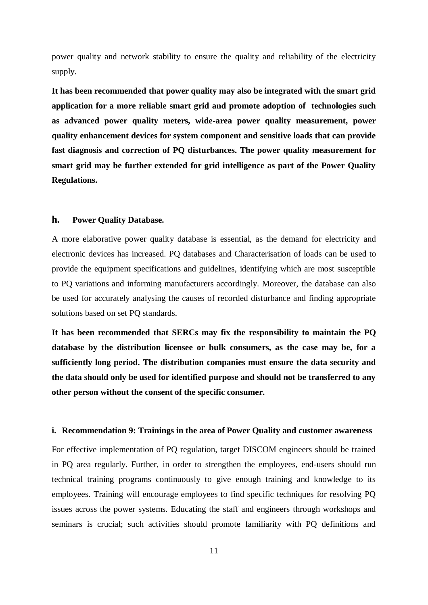power quality and network stability to ensure the quality and reliability of the electricity supply.

**It has been recommended that power quality may also be integrated with the smart grid application for a more reliable smart grid and promote adoption of technologies such as advanced power quality meters, wide-area power quality measurement, power quality enhancement devices for system component and sensitive loads that can provide fast diagnosis and correction of PQ disturbances. The power quality measurement for smart grid may be further extended for grid intelligence as part of the Power Quality Regulations.**

#### **h. Power Quality Database.**

A more elaborative power quality database is essential, as the demand for electricity and electronic devices has increased. PQ databases and Characterisation of loads can be used to provide the equipment specifications and guidelines, identifying which are most susceptible to PQ variations and informing manufacturers accordingly. Moreover, the database can also be used for accurately analysing the causes of recorded disturbance and finding appropriate solutions based on set PQ standards.

**It has been recommended that SERCs may fix the responsibility to maintain the PQ database by the distribution licensee or bulk consumers, as the case may be, for a sufficiently long period. The distribution companies must ensure the data security and the data should only be used for identified purpose and should not be transferred to any other person without the consent of the specific consumer.**

#### **i. Recommendation 9: Trainings in the area of Power Quality and customer awareness**

For effective implementation of PQ regulation, target DISCOM engineers should be trained in PQ area regularly. Further, in order to strengthen the employees, end-users should run technical training programs continuously to give enough training and knowledge to its employees. Training will encourage employees to find specific techniques for resolving PQ issues across the power systems. Educating the staff and engineers through workshops and seminars is crucial; such activities should promote familiarity with PQ definitions and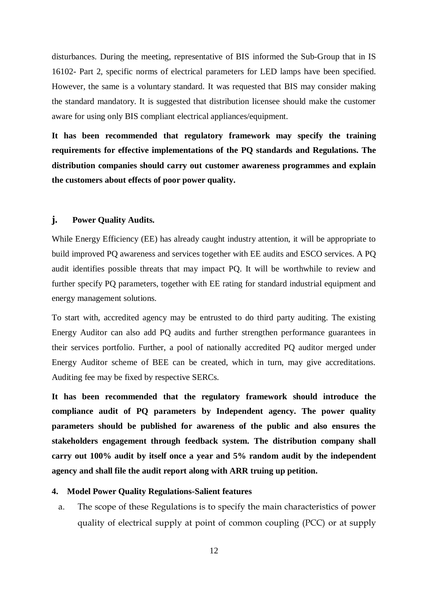disturbances. During the meeting, representative of BIS informed the Sub-Group that in IS 16102- Part 2, specific norms of electrical parameters for LED lamps have been specified. However, the same is a voluntary standard. It was requested that BIS may consider making the standard mandatory. It is suggested that distribution licensee should make the customer aware for using only BIS compliant electrical appliances/equipment.

**It has been recommended that regulatory framework may specify the training requirements for effective implementations of the PQ standards and Regulations. The distribution companies should carry out customer awareness programmes and explain the customers about effects of poor power quality.**

#### **j. Power Quality Audits.**

While Energy Efficiency (EE) has already caught industry attention, it will be appropriate to build improved PQ awareness and services together with EE audits and ESCO services. A PQ audit identifies possible threats that may impact PQ. It will be worthwhile to review and further specify PQ parameters, together with EE rating for standard industrial equipment and energy management solutions.

To start with, accredited agency may be entrusted to do third party auditing. The existing Energy Auditor can also add PQ audits and further strengthen performance guarantees in their services portfolio. Further, a pool of nationally accredited PQ auditor merged under Energy Auditor scheme of BEE can be created, which in turn, may give accreditations. Auditing fee may be fixed by respective SERCs.

**It has been recommended that the regulatory framework should introduce the compliance audit of PQ parameters by Independent agency. The power quality parameters should be published for awareness of the public and also ensures the stakeholders engagement through feedback system. The distribution company shall carry out 100% audit by itself once a year and 5% random audit by the independent agency and shall file the audit report along with ARR truing up petition.**

## **4. Model Power Quality Regulations-Salient features**

a. The scope of these Regulations is to specify the main characteristics of power quality of electrical supply at point of common coupling (PCC) or at supply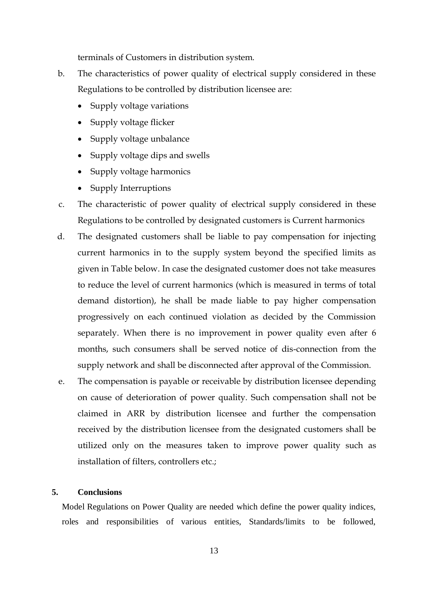terminals of Customers in distribution system.

- b. The characteristics of power quality of electrical supply considered in these Regulations to be controlled by distribution licensee are:
	- Supply voltage variations
	- Supply voltage flicker
	- Supply voltage unbalance
	- Supply voltage dips and swells
	- Supply voltage harmonics
	- Supply Interruptions
- c. The characteristic of power quality of electrical supply considered in these Regulations to be controlled by designated customers is Current harmonics
- d. The designated customers shall be liable to pay compensation for injecting current harmonics in to the supply system beyond the specified limits as given in Table below. In case the designated customer does not take measures to reduce the level of current harmonics (which is measured in terms of total demand distortion), he shall be made liable to pay higher compensation progressively on each continued violation as decided by the Commission separately. When there is no improvement in power quality even after 6 months, such consumers shall be served notice of dis-connection from the supply network and shall be disconnected after approval of the Commission.
- e. The compensation is payable or receivable by distribution licensee depending on cause of deterioration of power quality. Such compensation shall not be claimed in ARR by distribution licensee and further the compensation received by the distribution licensee from the designated customers shall be utilized only on the measures taken to improve power quality such as installation of filters, controllers etc.;

## **5. Conclusions**

Model Regulations on Power Quality are needed which define the power quality indices, roles and responsibilities of various entities, Standards/limits to be followed,